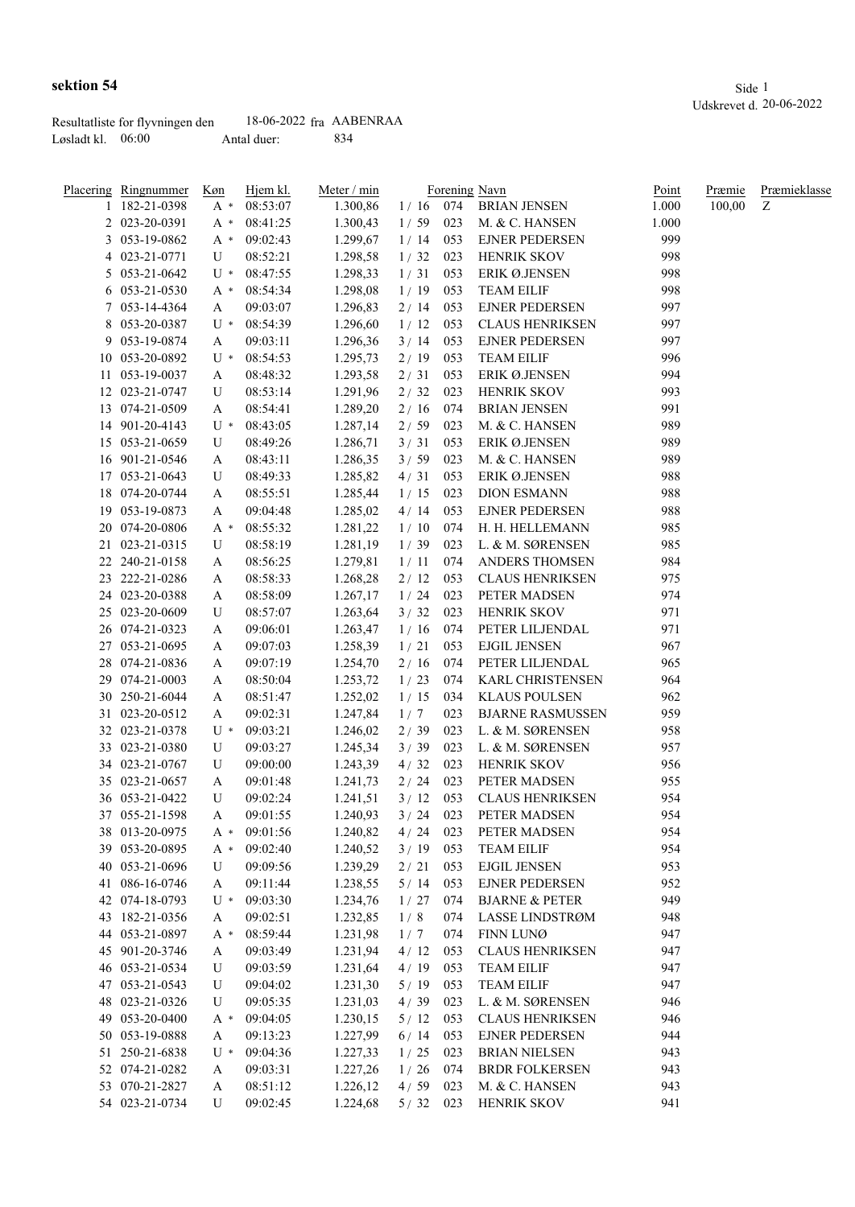Løsladt kl.  $06:00$  Antal duer: 834

|   | Placering Ringnummer             | Køn      | Hjem kl.             | Meter / min          |             |            | Forening Navn                               | Point      | Præmie | Præmieklasse |
|---|----------------------------------|----------|----------------------|----------------------|-------------|------------|---------------------------------------------|------------|--------|--------------|
| 1 | 182-21-0398                      | A *      | 08:53:07             | 1.300,86             | $1/16$ 074  |            | <b>BRIAN JENSEN</b>                         | 1.000      | 100,00 | Z            |
|   | 2 023-20-0391                    | $A^*$    | 08:41:25             | 1.300,43             | 1/59        | 023        | M. & C. HANSEN                              | 1.000      |        |              |
|   | 3 053-19-0862                    | A *      | 09:02:43             | 1.299,67             | 1/14        | 053        | <b>EJNER PEDERSEN</b>                       | 999        |        |              |
|   | 4 023-21-0771                    | U        | 08:52:21             | 1.298,58             | 1/32        | 023        | <b>HENRIK SKOV</b>                          | 998        |        |              |
|   | 5 053-21-0642                    | $U^*$    | 08:47:55             | 1.298,33             | 1/31        | 053        | ERIK Ø.JENSEN                               | 998        |        |              |
|   | 6 053-21-0530                    | A *      | 08:54:34             | 1.298,08             | 1/19        | 053        | <b>TEAM EILIF</b>                           | 998        |        |              |
|   | 7 053-14-4364                    | A        | 09:03:07             | 1.296,83             | 2/14        | 053        | <b>EJNER PEDERSEN</b>                       | 997        |        |              |
|   | 8 053-20-0387                    | U *      | 08:54:39             | 1.296,60             | 1/12        | 053        | <b>CLAUS HENRIKSEN</b>                      | 997        |        |              |
|   | 9 053-19-0874                    | A        | 09:03:11             | 1.296,36             | 3/14        | 053        | <b>EJNER PEDERSEN</b>                       | 997        |        |              |
|   | 10 053-20-0892                   | U *      | 08:54:53             | 1.295,73             | 2/19        | 053        | <b>TEAM EILIF</b>                           | 996        |        |              |
|   | 11 053-19-0037                   | A        | 08:48:32             | 1.293,58             | 2/31        | 053        | ERIK Ø.JENSEN                               | 994        |        |              |
|   | 12 023-21-0747                   | U        | 08:53:14             | 1.291,96             | 2/32        | 023        | HENRIK SKOV                                 | 993        |        |              |
|   | 13 074-21-0509                   | A        | 08:54:41             | 1.289,20             | 2/16        | 074        | <b>BRIAN JENSEN</b>                         | 991        |        |              |
|   | 14 901-20-4143                   | U *      | 08:43:05             | 1.287,14             | 2/59        | 023        | M. & C. HANSEN                              | 989        |        |              |
|   | 15 053-21-0659                   | U        | 08:49:26             | 1.286,71             | 3/31        | 053        | ERIK Ø.JENSEN                               | 989        |        |              |
|   | 16 901-21-0546                   | A        | 08:43:11             | 1.286,35             | 3/59        | 023        | M. & C. HANSEN                              | 989        |        |              |
|   | 17 053-21-0643                   | U        | 08:49:33             | 1.285,82             | 4/31        | 053        | ERIK Ø.JENSEN                               | 988        |        |              |
|   | 18 074-20-0744                   | A        | 08:55:51             | 1.285,44             | 1/15        | 023        | <b>DION ESMANN</b>                          | 988        |        |              |
|   | 19 053-19-0873                   | A        | 09:04:48             | 1.285,02             | 4/14        | 053        | <b>EJNER PEDERSEN</b>                       | 988        |        |              |
|   | 20 074-20-0806                   | A *      | 08:55:32             | 1.281,22             | 1/10        | 074        | H. H. HELLEMANN                             | 985        |        |              |
|   | 21 023-21-0315                   | U        | 08:58:19             | 1.281,19             | 1/39        | 023        | L. & M. SØRENSEN                            | 985        |        |              |
|   | 22 240-21-0158                   | A        | 08:56:25             | 1.279,81             | 1/11        | 074        | <b>ANDERS THOMSEN</b>                       | 984        |        |              |
|   | 23 222-21-0286                   | A        | 08:58:33             | 1.268,28             | 2/12        | 053        | <b>CLAUS HENRIKSEN</b>                      | 975        |        |              |
|   | 24 023-20-0388                   | A        | 08:58:09             | 1.267,17             | 1/24        | 023        | PETER MADSEN                                | 974        |        |              |
|   | 25 023-20-0609                   | U        | 08:57:07             | 1.263,64             | 3/32        | 023        | <b>HENRIK SKOV</b>                          | 971        |        |              |
|   | 26 074-21-0323                   | A        | 09:06:01             | 1.263,47             | 1/16        | 074        | PETER LILJENDAL                             | 971        |        |              |
|   | 27 053-21-0695                   | A        | 09:07:03             | 1.258,39             | 1/21        | 053        | <b>EJGIL JENSEN</b>                         | 967        |        |              |
|   | 28 074-21-0836                   | A        | 09:07:19             | 1.254,70             | 2/16        | 074        | PETER LILJENDAL                             | 965        |        |              |
|   | 29 074-21-0003                   | A        | 08:50:04             | 1.253,72             | 1/23        | 074        | <b>KARL CHRISTENSEN</b>                     | 964        |        |              |
|   | 30 250-21-6044                   | A        | 08:51:47             | 1.252,02             | 1/15        | 034        | <b>KLAUS POULSEN</b>                        | 962        |        |              |
|   |                                  |          |                      |                      |             |            |                                             |            |        |              |
|   | 31 023-20-0512<br>32 023-21-0378 | A<br>U * | 09:02:31<br>09:03:21 | 1.247,84             | 1/7<br>2/39 | 023<br>023 | <b>BJARNE RASMUSSEN</b><br>L. & M. SØRENSEN | 959<br>958 |        |              |
|   |                                  |          |                      | 1.246,02             |             |            |                                             |            |        |              |
|   | 33 023-21-0380                   | U        | 09:03:27             | 1.245,34             | 3/39        | 023        | L. & M. SØRENSEN                            | 957        |        |              |
|   | 34 023-21-0767                   | U        | 09:00:00             | 1.243,39             | 4/32        | 023        | HENRIK SKOV                                 | 956        |        |              |
|   | 35 023-21-0657                   | A        | 09:01:48             | 1.241,73             | 2/24        | 023        | PETER MADSEN                                | 955        |        |              |
|   | 36 053-21-0422                   | U        | 09:02:24             | 1.241,51             | 3/12        | 053        | <b>CLAUS HENRIKSEN</b>                      | 954        |        |              |
|   | 37 055-21-1598                   | A        | 09:01:55<br>09:01:56 | 1.240,93<br>1.240,82 | 3/24        | 023        | PETER MADSEN                                | 954        |        |              |
|   | 38 013-20-0975                   | $A^*$    |                      |                      | 4 / 24      | 023        | PETER MADSEN                                | 954        |        |              |
|   | 39 053-20-0895                   | $A^*$    | 09:02:40             | 1.240,52             | 3/19        | 053        | <b>TEAM EILIF</b>                           | 954        |        |              |
|   | 40 053-21-0696                   | U        | 09:09:56             | 1.239,29             | 2/21        | 053        | <b>EJGIL JENSEN</b>                         | 953        |        |              |
|   | 41 086-16-0746                   | A        | 09:11:44             | 1.238,55             | 5/14        | 053        | <b>EJNER PEDERSEN</b>                       | 952        |        |              |
|   | 42 074-18-0793                   | U *      | 09:03:30             | 1.234,76             | 1/27        | 074        | <b>BJARNE &amp; PETER</b>                   | 949        |        |              |
|   | 43 182-21-0356                   | A        | 09:02:51             | 1.232,85             | 1/8         | 074        | <b>LASSE LINDSTRØM</b>                      | 948        |        |              |
|   | 44 053-21-0897                   | A *      | 08:59:44             | 1.231,98             | 1/7         | 074        | FINN LUNØ                                   | 947        |        |              |
|   | 45 901-20-3746                   | A        | 09:03:49             | 1.231,94             | 4/12        | 053        | <b>CLAUS HENRIKSEN</b>                      | 947        |        |              |
|   | 46 053-21-0534                   | U        | 09:03:59             | 1.231,64             | 4/19        | 053        | <b>TEAM EILIF</b>                           | 947        |        |              |
|   | 47 053-21-0543                   | U        | 09:04:02             | 1.231,30             | 5/19        | 053        | <b>TEAM EILIF</b>                           | 947        |        |              |
|   | 48 023-21-0326                   | U        | 09:05:35             | 1.231,03             | 4/39        | 023        | L. & M. SØRENSEN                            | 946        |        |              |
|   | 49 053-20-0400                   | A *      | 09:04:05             | 1.230,15             | 5/12        | 053        | <b>CLAUS HENRIKSEN</b>                      | 946        |        |              |
|   | 50 053-19-0888                   | A        | 09:13:23             | 1.227,99             | 6/14        | 053        | <b>EJNER PEDERSEN</b>                       | 944        |        |              |
|   | 51 250-21-6838                   | U *      | 09:04:36             | 1.227,33             | 1/25        | 023        | <b>BRIAN NIELSEN</b>                        | 943        |        |              |
|   | 52 074-21-0282                   | A        | 09:03:31             | 1.227,26             | 1/26        | 074        | <b>BRDR FOLKERSEN</b>                       | 943        |        |              |
|   | 53 070-21-2827                   | A        | 08:51:12             | 1.226,12             | 4/59        | 023        | M. & C. HANSEN                              | 943        |        |              |
|   | 54 023-21-0734                   | U        | 09:02:45             | 1.224,68             | $5/32$ 023  |            | <b>HENRIK SKOV</b>                          | 941        |        |              |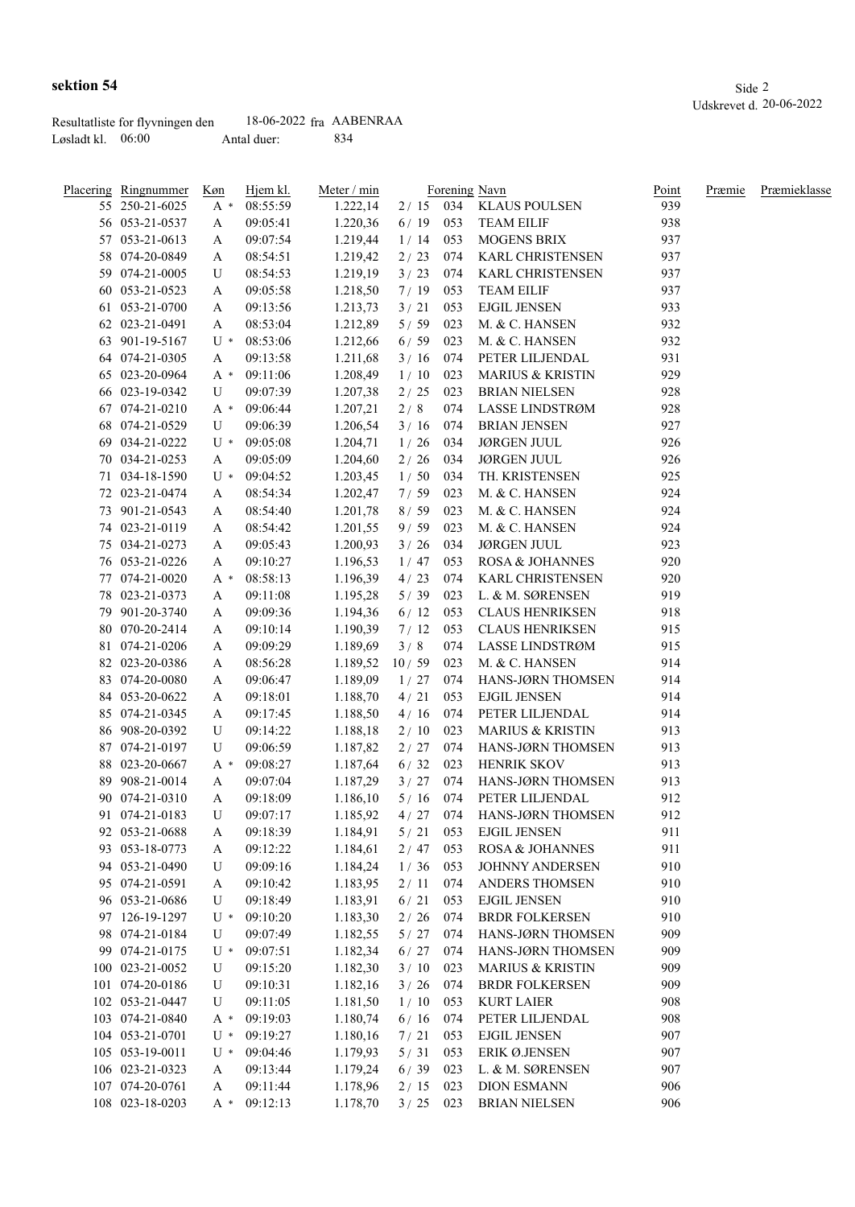|                     | Resultatliste for flyvningen den | $18-06-2022$ fra AABENRAA |     |
|---------------------|----------------------------------|---------------------------|-----|
| Løsladt kl. $06:00$ |                                  | Antal duer:               | 834 |

| Placering Ringnummer | Køn   | Hjem kl. | Meter / min |            |     | Forening Navn               | Point | Præmie | Præmieklasse |
|----------------------|-------|----------|-------------|------------|-----|-----------------------------|-------|--------|--------------|
| 55 250-21-6025       | $A^*$ | 08:55:59 | 1.222,14    |            |     | 2 / 15 034 KLAUS POULSEN    | 939   |        |              |
| 56 053-21-0537       | A     | 09:05:41 | 1.220,36    | 6/19       | 053 | <b>TEAM EILIF</b>           | 938   |        |              |
| 57 053-21-0613       | A     | 09:07:54 | 1.219,44    | 1/14       | 053 | <b>MOGENS BRIX</b>          | 937   |        |              |
| 58 074-20-0849       | A     | 08:54:51 | 1.219,42    | 2/23       | 074 | KARL CHRISTENSEN            | 937   |        |              |
| 59 074-21-0005       | U     | 08:54:53 | 1.219,19    | 3/23       | 074 | KARL CHRISTENSEN            | 937   |        |              |
| 60 053-21-0523       | A     | 09:05:58 | 1.218,50    | 7/19       | 053 | <b>TEAM EILIF</b>           | 937   |        |              |
| 61 053-21-0700       | A     | 09:13:56 | 1.213,73    | 3/21       | 053 | <b>EJGIL JENSEN</b>         | 933   |        |              |
| 62 023-21-0491       | A     | 08:53:04 | 1.212,89    | 5/59       | 023 | M. & C. HANSEN              | 932   |        |              |
| 63 901-19-5167       | $U^*$ | 08:53:06 | 1.212,66    | 6/59       | 023 | M. & C. HANSEN              | 932   |        |              |
| 64 074-21-0305       | A     | 09:13:58 | 1.211,68    | 3/16       | 074 | PETER LILJENDAL             | 931   |        |              |
| 65 023-20-0964       | A *   | 09:11:06 | 1.208,49    | 1/10       | 023 | <b>MARIUS &amp; KRISTIN</b> | 929   |        |              |
| 66 023-19-0342       | U     | 09:07:39 | 1.207,38    | 2/25       | 023 | <b>BRIAN NIELSEN</b>        | 928   |        |              |
| 67 074-21-0210       | $A^*$ | 09:06:44 | 1.207,21    | 2/8        | 074 | LASSE LINDSTRØM             | 928   |        |              |
| 68 074-21-0529       | U     | 09:06:39 | 1.206,54    | 3/16       | 074 | <b>BRIAN JENSEN</b>         | 927   |        |              |
| 69 034-21-0222       | $U^*$ | 09:05:08 | 1.204,71    | 1/26       | 034 | <b>JØRGEN JUUL</b>          | 926   |        |              |
| 70 034-21-0253       | A     | 09:05:09 | 1.204,60    | $2/26$     | 034 | <b>JØRGEN JUUL</b>          | 926   |        |              |
| 71 034-18-1590       | $U^*$ | 09:04:52 | 1.203,45    | 1/50       | 034 | TH. KRISTENSEN              | 925   |        |              |
| 72 023-21-0474       | A     | 08:54:34 | 1.202,47    | 7/59       | 023 | M. & C. HANSEN              | 924   |        |              |
| 73 901-21-0543       | A     | 08:54:40 | 1.201,78    | 8/59       | 023 | M. & C. HANSEN              | 924   |        |              |
| 74 023-21-0119       | A     | 08:54:42 | 1.201,55    | 9/59       | 023 | M. & C. HANSEN              | 924   |        |              |
| 75 034-21-0273       | A     | 09:05:43 | 1.200,93    | 3/26       | 034 | <b>JØRGEN JUUL</b>          | 923   |        |              |
| 76 053-21-0226       | A     | 09:10:27 | 1.196,53    | 1/47       | 053 | <b>ROSA &amp; JOHANNES</b>  | 920   |        |              |
| 77 074-21-0020       |       | 08:58:13 | 1.196,39    | 4/23       | 074 | <b>KARL CHRISTENSEN</b>     | 920   |        |              |
| 78 023-21-0373       | $A^*$ | 09:11:08 |             | 5/39       | 023 | L. & M. SØRENSEN            | 919   |        |              |
|                      | A     |          | 1.195,28    |            |     |                             |       |        |              |
| 79 901-20-3740       | A     | 09:09:36 | 1.194,36    | 6/12       | 053 | <b>CLAUS HENRIKSEN</b>      | 918   |        |              |
| 80 070-20-2414       | A     | 09:10:14 | 1.190,39    | 7/12       | 053 | <b>CLAUS HENRIKSEN</b>      | 915   |        |              |
| 81 074-21-0206       | A     | 09:09:29 | 1.189,69    | 3/8        | 074 | LASSE LINDSTRØM             | 915   |        |              |
| 82 023-20-0386       | A     | 08:56:28 | 1.189,52    | 10/59      | 023 | M. & C. HANSEN              | 914   |        |              |
| 83 074-20-0080       | A     | 09:06:47 | 1.189,09    | 1/27       | 074 | HANS-JØRN THOMSEN           | 914   |        |              |
| 84 053-20-0622       | A     | 09:18:01 | 1.188,70    | 4/21       | 053 | <b>EJGIL JENSEN</b>         | 914   |        |              |
| 85 074-21-0345       | A     | 09:17:45 | 1.188,50    | 4/16       | 074 | PETER LILJENDAL             | 914   |        |              |
| 86 908-20-0392       | U     | 09:14:22 | 1.188,18    | 2/10       | 023 | <b>MARIUS &amp; KRISTIN</b> | 913   |        |              |
| 87 074-21-0197       | U     | 09:06:59 | 1.187,82    | 2/27       | 074 | HANS-JØRN THOMSEN           | 913   |        |              |
| 88 023-20-0667       | A *   | 09:08:27 | 1.187,64    | 6/32       | 023 | <b>HENRIK SKOV</b>          | 913   |        |              |
| 89 908-21-0014       | A     | 09:07:04 | 1.187,29    | 3 / 27 074 |     | HANS-JØRN THOMSEN           | 913   |        |              |
| 90 074-21-0310       | A     | 09:18:09 | 1.186,10    | $5/16$ 074 |     | PETER LILJENDAL             | 912   |        |              |
| 91 074-21-0183       | U     | 09:07:17 | 1.185,92    | $4/27$ 074 |     | HANS-JØRN THOMSEN           | 912   |        |              |
| 92 053-21-0688       | A     | 09:18:39 | 1.184,91    | 5/21       | 053 | <b>EJGIL JENSEN</b>         | 911   |        |              |
| 93 053-18-0773       | A     | 09:12:22 | 1.184,61    | 2/47       | 053 | ROSA & JOHANNES             | 911   |        |              |
| 94 053-21-0490       | U     | 09:09:16 | 1.184,24    | 1/36       | 053 | JOHNNY ANDERSEN             | 910   |        |              |
| 95 074-21-0591       | A     | 09:10:42 | 1.183,95    | 2/11       | 074 | ANDERS THOMSEN              | 910   |        |              |
| 96 053-21-0686       | U     | 09:18:49 | 1.183,91    | $6/21$     | 053 | <b>EJGIL JENSEN</b>         | 910   |        |              |
| 97 126-19-1297       | $U^*$ | 09:10:20 | 1.183,30    | $2/26$     | 074 | <b>BRDR FOLKERSEN</b>       | 910   |        |              |
| 98 074-21-0184       | U     | 09:07:49 | 1.182,55    | $5/27$     | 074 | HANS-JØRN THOMSEN           | 909   |        |              |
| 99 074-21-0175       | $U^*$ | 09:07:51 | 1.182,34    | $6/27$     | 074 | HANS-JØRN THOMSEN           | 909   |        |              |
| 100 023-21-0052      | U     | 09:15:20 | 1.182,30    | 3/10       | 023 | <b>MARIUS &amp; KRISTIN</b> | 909   |        |              |
| 101 074-20-0186      | U     | 09:10:31 | 1.182,16    | 3/26       | 074 | <b>BRDR FOLKERSEN</b>       | 909   |        |              |
| 102 053-21-0447      | U     | 09:11:05 | 1.181,50    | 1/10       | 053 | <b>KURT LAIER</b>           | 908   |        |              |
| 103 074-21-0840      | $A^*$ | 09:19:03 | 1.180,74    | 6/16       | 074 | PETER LILJENDAL             | 908   |        |              |
| 104 053-21-0701      | $U^*$ | 09:19:27 | 1.180,16    | 7/21       | 053 | <b>EJGIL JENSEN</b>         | 907   |        |              |
| 105 053-19-0011      | $U^*$ | 09:04:46 | 1.179,93    | 5/31       | 053 | ERIK Ø.JENSEN               | 907   |        |              |
| 106 023-21-0323      | A     | 09:13:44 | 1.179,24    | $6/39$     | 023 | L. & M. SØRENSEN            | 907   |        |              |
| 107 074-20-0761      | A     | 09:11:44 | 1.178,96    | 2/15       | 023 | <b>DION ESMANN</b>          | 906   |        |              |
| 108 023-18-0203      | $A^*$ | 09:12:13 |             | 3/25       | 023 | <b>BRIAN NIELSEN</b>        | 906   |        |              |
|                      |       |          | 1.178,70    |            |     |                             |       |        |              |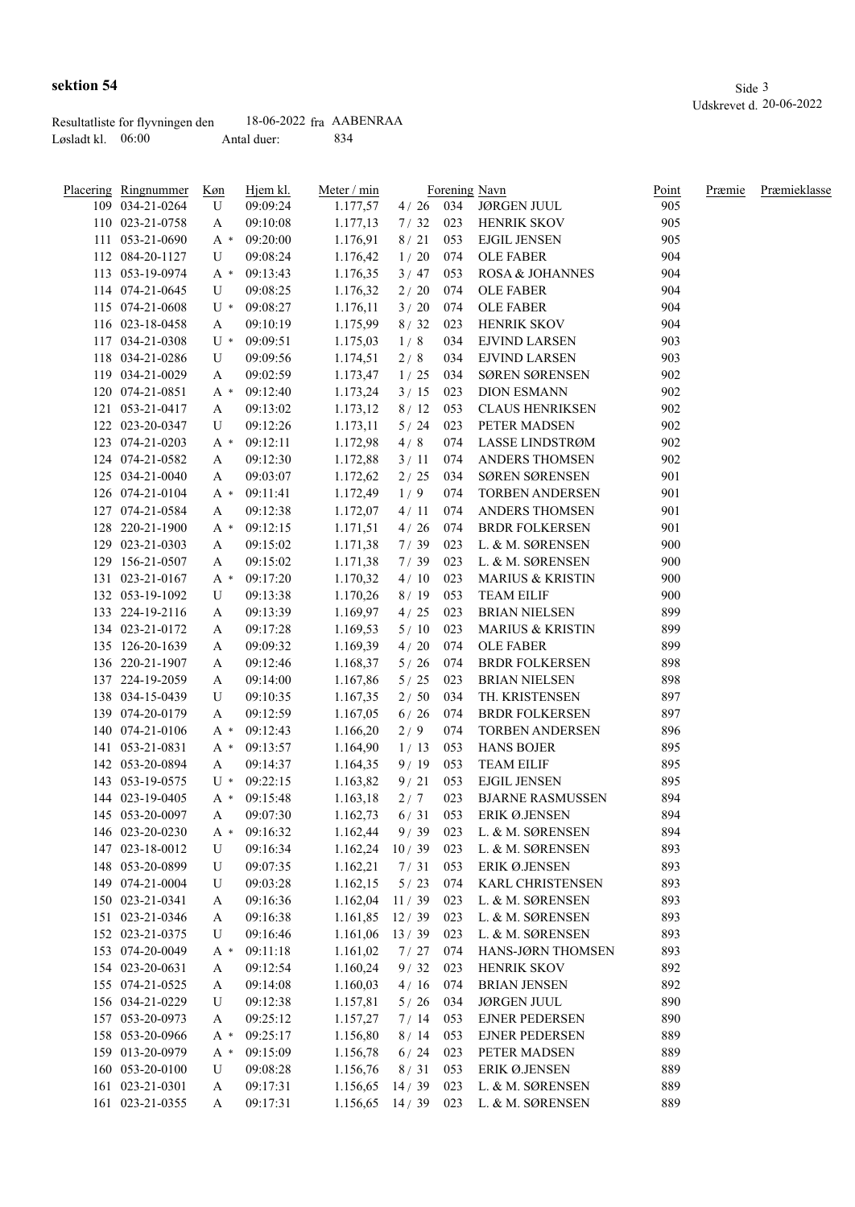|                     | Resultatliste for flyvningen den | $18-06-2022$ fra AABENRAA |      |
|---------------------|----------------------------------|---------------------------|------|
| Løsladt kl. $06:00$ |                                  | Antal duer:               | -834 |

| Placering Ringnummer | Køn                  | Hjem kl.             | Meter / min      |              |     | Forening Navn               | Point | Præmie | Præmieklasse |
|----------------------|----------------------|----------------------|------------------|--------------|-----|-----------------------------|-------|--------|--------------|
| 109 034-21-0264      | U                    | 09:09:24             | 1.177,57         |              |     | 4 / 26 034 JØRGEN JUUL      | 905   |        |              |
| 110 023-21-0758      | A                    | 09:10:08             | 1.177,13         | 7/32         | 023 | HENRIK SKOV                 | 905   |        |              |
| 111 053-21-0690      | A *                  | 09:20:00             | 1.176,91         | 8/21         | 053 | <b>EJGIL JENSEN</b>         | 905   |        |              |
| 112 084-20-1127      | U                    | 09:08:24             | 1.176,42         | 1/20         | 074 | <b>OLE FABER</b>            | 904   |        |              |
| 113 053-19-0974      | A *                  | 09:13:43             | 1.176,35         | 3/47         | 053 | ROSA & JOHANNES             | 904   |        |              |
| 114 074-21-0645      | U                    | 09:08:25             | 1.176,32         | 2/20         | 074 | <b>OLE FABER</b>            | 904   |        |              |
| 115 074-21-0608      | $U^*$                | 09:08:27             | 1.176,11         | 3/20         | 074 | <b>OLE FABER</b>            | 904   |        |              |
| 116 023-18-0458      | A                    | 09:10:19             | 1.175,99         | 8/32         | 023 | HENRIK SKOV                 | 904   |        |              |
| 117 034-21-0308      | $U^*$                | 09:09:51             | 1.175,03         | 1/8          | 034 | <b>EJVIND LARSEN</b>        | 903   |        |              |
| 118 034-21-0286      | U                    | 09:09:56             | 1.174,51         | $2/8$        | 034 | <b>EJVIND LARSEN</b>        | 903   |        |              |
| 119 034-21-0029      | A                    | 09:02:59             | 1.173,47         | 1/25         | 034 | SØREN SØRENSEN              | 902   |        |              |
| 120 074-21-0851      | A *                  | 09:12:40             | 1.173,24         | 3/15         | 023 | <b>DION ESMANN</b>          | 902   |        |              |
| 121 053-21-0417      | A                    | 09:13:02             | 1.173,12         | 8/12         | 053 | <b>CLAUS HENRIKSEN</b>      | 902   |        |              |
| 122 023-20-0347      | U                    | 09:12:26             | 1.173,11         | 5/24         | 023 | PETER MADSEN                | 902   |        |              |
| 123 074-21-0203      | A *                  | 09:12:11             | 1.172,98         | 4/8          | 074 | LASSE LINDSTRØM             | 902   |        |              |
| 124 074-21-0582      | A                    | 09:12:30             | 1.172,88         | 3/11         | 074 | ANDERS THOMSEN              | 902   |        |              |
| 125 034-21-0040      | A                    | 09:03:07             | 1.172,62         | 2/25         | 034 | SØREN SØRENSEN              | 901   |        |              |
| 126 074-21-0104      | $A^*$                | 09:11:41             | 1.172,49         | 1/9          | 074 | <b>TORBEN ANDERSEN</b>      | 901   |        |              |
| 127 074-21-0584      | A                    | 09:12:38             | 1.172,07         | 4/11         | 074 | <b>ANDERS THOMSEN</b>       | 901   |        |              |
| 128 220-21-1900      | $A^*$                | 09:12:15             | 1.171,51         | 4/26         | 074 | <b>BRDR FOLKERSEN</b>       | 901   |        |              |
| 129 023-21-0303      |                      | 09:15:02             |                  | 7/39         | 023 | L. & M. SØRENSEN            | 900   |        |              |
| 129 156-21-0507      | A                    |                      | 1.171,38         |              | 023 | L. & M. SØRENSEN            | 900   |        |              |
| 131 023-21-0167      | A                    | 09:15:02<br>09:17:20 | 1.171,38         | 7/39<br>4/10 | 023 | <b>MARIUS &amp; KRISTIN</b> | 900   |        |              |
|                      | $A^*$                |                      | 1.170,32         |              |     |                             | 900   |        |              |
| 132 053-19-1092      | U                    | 09:13:38             | 1.170,26         | 8/19         | 053 | <b>TEAM EILIF</b>           |       |        |              |
| 133 224-19-2116      | A                    | 09:13:39             | 1.169,97         | 4/25         | 023 | <b>BRIAN NIELSEN</b>        | 899   |        |              |
| 134 023-21-0172      | A                    | 09:17:28             | 1.169,53         | 5/10         | 023 | <b>MARIUS &amp; KRISTIN</b> | 899   |        |              |
| 135 126-20-1639      | A                    | 09:09:32             | 1.169,39         | 4/20         | 074 | <b>OLE FABER</b>            | 899   |        |              |
| 136 220-21-1907      | A                    | 09:12:46             | 1.168,37         | 5/26         | 074 | <b>BRDR FOLKERSEN</b>       | 898   |        |              |
| 137 224-19-2059      | A                    | 09:14:00             | 1.167,86         | $5/25$       | 023 | <b>BRIAN NIELSEN</b>        | 898   |        |              |
| 138 034-15-0439      | U                    | 09:10:35             | 1.167,35         | 2/50         | 034 | TH. KRISTENSEN              | 897   |        |              |
| 139 074-20-0179      | A                    | 09:12:59             | 1.167,05         | 6/26         | 074 | <b>BRDR FOLKERSEN</b>       | 897   |        |              |
| 140 074-21-0106      | A *                  | 09:12:43             | 1.166,20         | 2/9          | 074 | <b>TORBEN ANDERSEN</b>      | 896   |        |              |
| 141 053-21-0831      | A *                  | 09:13:57             | 1.164,90         | 1/13         | 053 | <b>HANS BOJER</b>           | 895   |        |              |
| 142 053-20-0894      | A                    | 09:14:37             | 1.164,35         | 9/19         | 053 | <b>TEAM EILIF</b>           | 895   |        |              |
| 143 053-19-0575      | $U^*$                | 09:22:15             | 1.163,82         | 9/21         | 053 | <b>EJGIL JENSEN</b>         | 895   |        |              |
| 144 023-19-0405      | A *                  | 09:15:48             | 1.163,18         | 2/7          | 023 | <b>BJARNE RASMUSSEN</b>     | 894   |        |              |
| 145 053-20-0097      | A                    | 09:07:30             | 1.162,73         | $6/31$ 053   |     | ERIK Ø.JENSEN               | 894   |        |              |
| 146 023-20-0230      | A $\hspace{0.1mm}^*$ | 09:16:32             | 1.162,44         | 9/39         | 023 | L. & M. SØRENSEN            | 894   |        |              |
| 147 023-18-0012      | U                    | 09:16:34             | 1.162,24         | 10/39        | 023 | L. & M. SØRENSEN            | 893   |        |              |
| 148 053-20-0899      | U                    | 09:07:35             | 1.162,21         | 7/31         | 053 | ERIK Ø.JENSEN               | 893   |        |              |
| 149 074-21-0004      | U                    | 09:03:28             | 1.162,15         | 5/23         | 074 | KARL CHRISTENSEN            | 893   |        |              |
| 150 023-21-0341      | A                    | 09:16:36             | 1.162,04         | 11/39        | 023 | L. & M. SØRENSEN            | 893   |        |              |
| 151 023-21-0346      | A                    | 09:16:38             | 1.161,85         | 12/39        | 023 | L. & M. SØRENSEN            | 893   |        |              |
| 152 023-21-0375      | U                    | 09:16:46             | 1.161,06         | 13/39        | 023 | L. & M. SØRENSEN            | 893   |        |              |
| 153 074-20-0049      | $A^*$                | 09:11:18             | 1.161,02         | 7/27         | 074 | HANS-JØRN THOMSEN           | 893   |        |              |
| 154 023-20-0631      | A                    | 09:12:54             | 1.160,24         | 9/32         | 023 | HENRIK SKOV                 | 892   |        |              |
| 155 074-21-0525      | A                    | 09:14:08             | 1.160,03         | 4/16         | 074 | <b>BRIAN JENSEN</b>         | 892   |        |              |
| 156 034-21-0229      | U                    | 09:12:38             | 1.157,81         | $5/26$       | 034 | <b>JØRGEN JUUL</b>          | 890   |        |              |
| 157 053-20-0973      | A                    | 09:25:12             | 1.157,27         | 7/14         | 053 | <b>EJNER PEDERSEN</b>       | 890   |        |              |
| 158 053-20-0966      | $A^*$                | 09:25:17             | 1.156,80         | 8/14         | 053 | <b>EJNER PEDERSEN</b>       | 889   |        |              |
| 159 013-20-0979      | $A^*$                | 09:15:09             | 1.156,78         | 6/24         | 023 | PETER MADSEN                | 889   |        |              |
| 160 053-20-0100      | U                    | 09:08:28             | 1.156,76         | 8/31         | 053 | ERIK Ø.JENSEN               | 889   |        |              |
| 161 023-21-0301      | A                    | 09:17:31             | 1.156,65         | 14/39        | 023 | L. & M. SØRENSEN            | 889   |        |              |
| 161 023-21-0355      | A                    | 09:17:31             | $1.156,65$ 14/39 |              | 023 | L. & M. SØRENSEN            | 889   |        |              |
|                      |                      |                      |                  |              |     |                             |       |        |              |